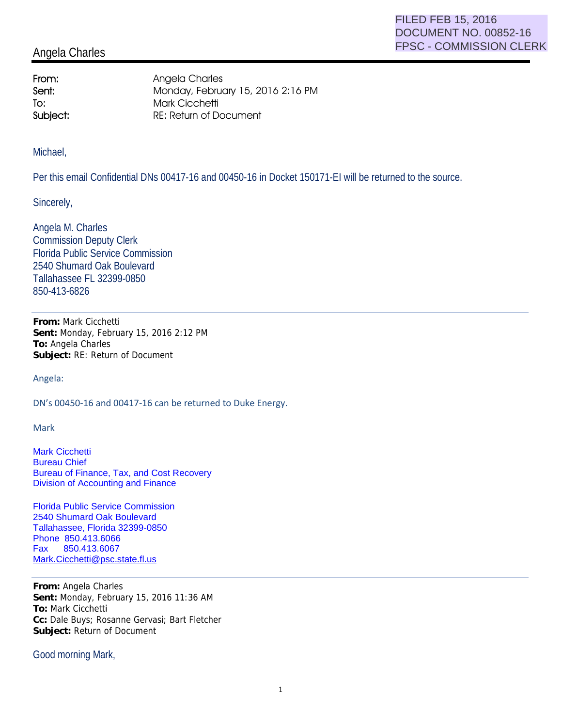## Angela Charles

From: Angela Charles Sent: Monday, February 15, 2016 2:16 PM To: Mark Cicchetti Subject: RE: Return of Document

Michael,

Per this email Confidential DNs 00417-16 and 00450-16 in Docket 150171-EI will be returned to the source.

Sincerely,

Angela M. Charles Commission Deputy Clerk Florida Public Service Commission 2540 Shumard Oak Boulevard Tallahassee FL 32399-0850 850-413-6826

**From:** Mark Cicchetti **Sent:** Monday, February 15, 2016 2:12 PM **To:** Angela Charles **Subject:** RE: Return of Document

Angela:

DN's 00450-16 and 00417-16 can be returned to Duke Energy.

Mark

Mark Cicchetti Bureau Chief Bureau of Finance, Tax, and Cost Recovery Division of Accounting and Finance

Florida Public Service Commission 2540 Shumard Oak Boulevard Tallahassee, Florida 32399-0850 Phone 850.413.6066 Fax 850.413.6067 Mark.Cicchetti@psc.state.fl.us

**From:** Angela Charles **Sent:** Monday, February 15, 2016 11:36 AM **To:** Mark Cicchetti **Cc:** Dale Buys; Rosanne Gervasi; Bart Fletcher **Subject:** Return of Document

Good morning Mark,